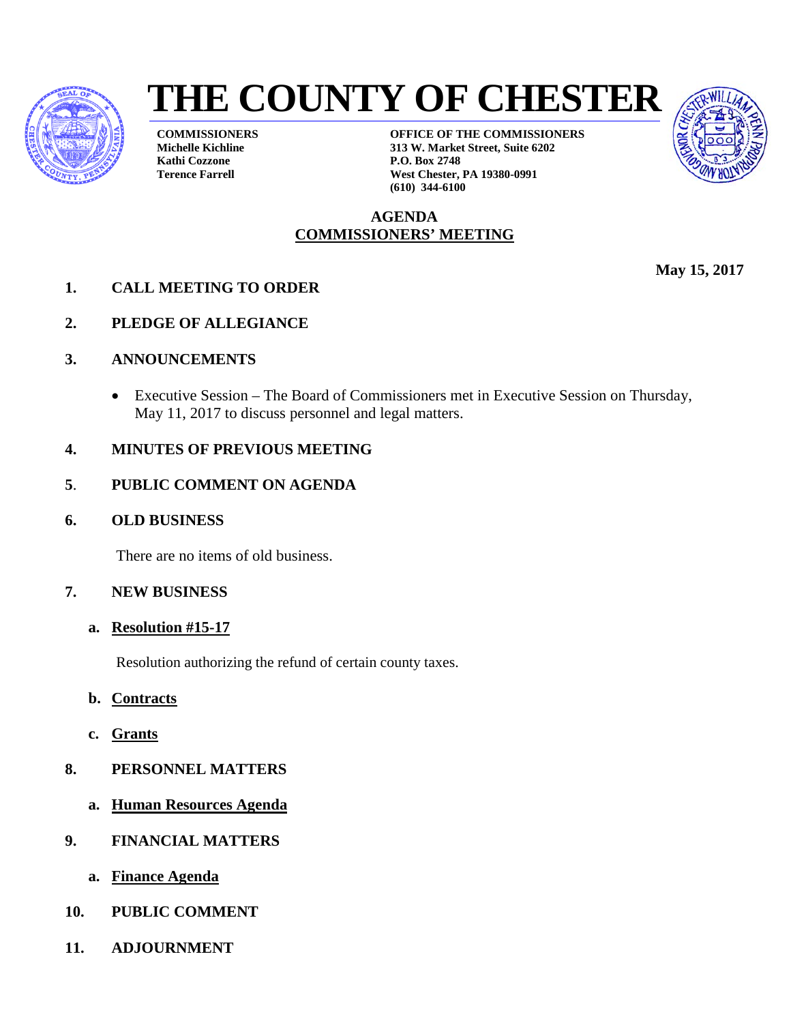

# **THE COUNTY OF CHESTER**

**COMMISSIONERS Michelle Kichline Kathi Cozzone Terence Farrell**

**OFFICE OF THE COMMISSIONERS 313 W. Market Street, Suite 6202 P.O. Box 2748 West Chester, PA 19380-0991 (610) 344-6100**



# **AGENDA COMMISSIONERS' MEETING**

**May 15, 2017** 

- **1. CALL MEETING TO ORDER**
- **2. PLEDGE OF ALLEGIANCE**
- **3. ANNOUNCEMENTS**
	- Executive Session The Board of Commissioners met in Executive Session on Thursday, May 11, 2017 to discuss personnel and legal matters.

## **4. MINUTES OF PREVIOUS MEETING**

## **5**. **PUBLIC COMMENT ON AGENDA**

**6. OLD BUSINESS**

There are no items of old business.

## **7. NEW BUSINESS**

**a. Resolution #15-17**

Resolution authorizing the refund of certain county taxes.

- **b. Contracts**
- **c. Grants**
- **8. PERSONNEL MATTERS**
	- **a. Human Resources Agenda**
- **9. FINANCIAL MATTERS**
	- **a. Finance Agenda**
- **10. PUBLIC COMMENT**
- **11. ADJOURNMENT**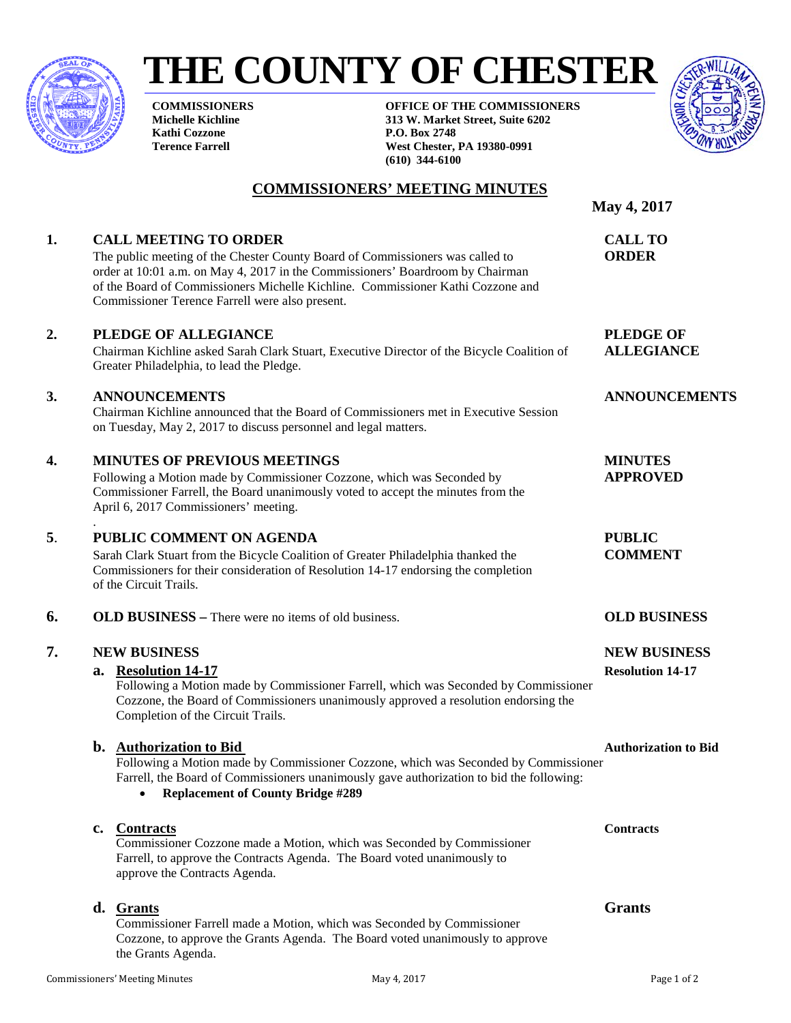

# **THE COUNTY OF CHESTER**

**COMMISSIONERS Michelle Kichline Kathi Cozzone Terence Farrell**

**OFFICE OF THE COMMISSIONERS 313 W. Market Street, Suite 6202 P.O. Box 2748 West Chester, PA 19380-0991 (610) 344-6100**



**May 4, 2017** 

# **COMMISSIONERS' MEETING MINUTES**

**1. CALL MEETING TO ORDER CALL TO** The public meeting of the Chester County Board of Commissioners was called to **ORDER** order at 10:01 a.m. on May 4, 2017 in the Commissioners' Boardroom by Chairman of the Board of Commissioners Michelle Kichline. Commissioner Kathi Cozzone and Commissioner Terence Farrell were also present. **2. PLEDGE OF ALLEGIANCE PLEDGE OF** Chairman Kichline asked Sarah Clark Stuart, Executive Director of the Bicycle Coalition of **ALLEGIANCE** Greater Philadelphia, to lead the Pledge. **3. ANNOUNCEMENTS ANNOUNCEMENTS** Chairman Kichline announced that the Board of Commissioners met in Executive Session on Tuesday, May 2, 2017 to discuss personnel and legal matters. **4. MINUTES OF PREVIOUS MEETINGS MINUTES**  Following a Motion made by Commissioner Cozzone, which was Seconded by **APPROVED** Commissioner Farrell, the Board unanimously voted to accept the minutes from the April 6, 2017 Commissioners' meeting. . **5**. **PUBLIC COMMENT ON AGENDA PUBLIC** Sarah Clark Stuart from the Bicycle Coalition of Greater Philadelphia thanked the **COMMENT** Commissioners for their consideration of Resolution 14-17 endorsing the completion of the Circuit Trails. **6. OLD BUSINESS –** There were no items of old business. **OLD BUSINESS 7. NEW BUSINESS NEW BUSINESS a. Resolution 14-17 Resolution 14-17** Following a Motion made by Commissioner Farrell, which was Seconded by Commissioner Cozzone, the Board of Commissioners unanimously approved a resolution endorsing the Completion of the Circuit Trails. **b. Authorization to Bid Authorization to Bid** Following a Motion made by Commissioner Cozzone, which was Seconded by Commissioner Farrell, the Board of Commissioners unanimously gave authorization to bid the following: • **Replacement of County Bridge #289 c. Contracts Contracts** Commissioner Cozzone made a Motion, which was Seconded by Commissioner Farrell, to approve the Contracts Agenda. The Board voted unanimously to approve the Contracts Agenda.

**d. Grants Grants**

Commissioner Farrell made a Motion, which was Seconded by Commissioner Cozzone, to approve the Grants Agenda. The Board voted unanimously to approve the Grants Agenda.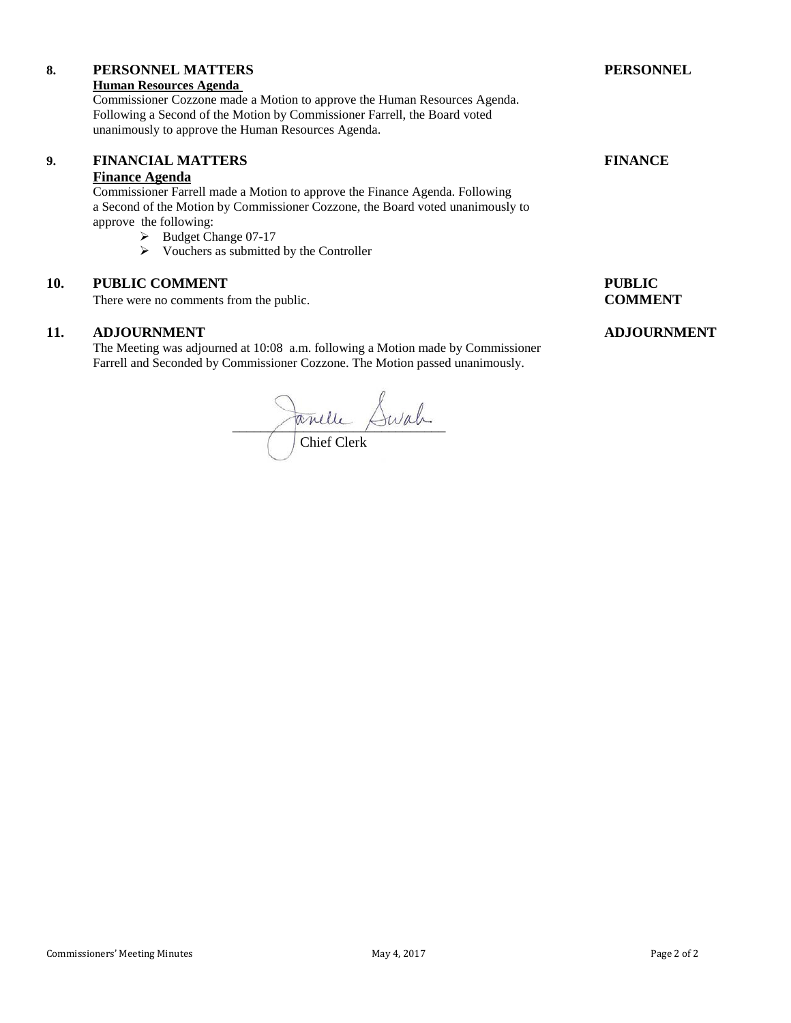## **8. PERSONNEL MATTERS PERSONNEL Human Resources Agenda**

Commissioner Cozzone made a Motion to approve the Human Resources Agenda. Following a Second of the Motion by Commissioner Farrell, the Board voted unanimously to approve the Human Resources Agenda.

## **9. FINANCIAL MATTERS FINANCE Finance Agenda**

Commissioner Farrell made a Motion to approve the Finance Agenda. Following a Second of the Motion by Commissioner Cozzone, the Board voted unanimously to approve the following:

- Budget Change 07-17
- $\triangleright$  Vouchers as submitted by the Controller

## **10. PUBLIC COMMENT PUBLIC**

There were no comments from the public. **COMMENT** 

## **11. ADJOURNMENT ADJOURNMENT**

The Meeting was adjourned at 10:08 a.m. following a Motion made by Commissioner Farrell and Seconded by Commissioner Cozzone. The Motion passed unanimously.

 $\sim$   $\sim$   $\sim$ Chief Clerk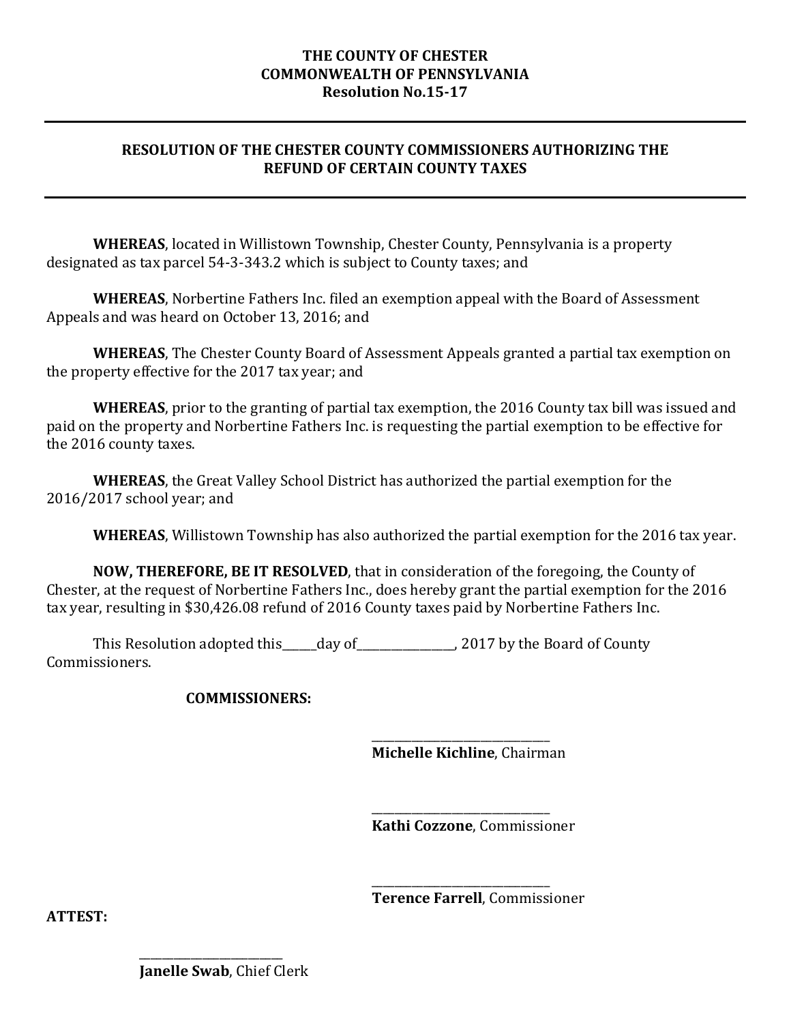## **THE COUNTY OF CHESTER COMMONWEALTH OF PENNSYLVANIA Resolution No.15-17**

## **RESOLUTION OF THE CHESTER COUNTY COMMISSIONERS AUTHORIZING THE REFUND OF CERTAIN COUNTY TAXES**

**WHEREAS**, located in Willistown Township, Chester County, Pennsylvania is a property designated as tax parcel 54-3-343.2 which is subject to County taxes; and

**WHEREAS**, Norbertine Fathers Inc. filed an exemption appeal with the Board of Assessment Appeals and was heard on October 13, 2016; and

**WHEREAS**, The Chester County Board of Assessment Appeals granted a partial tax exemption on the property effective for the 2017 tax year; and

**WHEREAS**, prior to the granting of partial tax exemption, the 2016 County tax bill was issued and paid on the property and Norbertine Fathers Inc. is requesting the partial exemption to be effective for the 2016 county taxes.

**WHEREAS**, the Great Valley School District has authorized the partial exemption for the 2016/2017 school year; and

**WHEREAS**, Willistown Township has also authorized the partial exemption for the 2016 tax year.

**NOW, THEREFORE, BE IT RESOLVED**, that in consideration of the foregoing, the County of Chester, at the request of Norbertine Fathers Inc., does hereby grant the partial exemption for the 2016 tax year, resulting in \$30,426.08 refund of 2016 County taxes paid by Norbertine Fathers Inc.

This Resolution adopted this \_\_\_\_day of \_\_\_\_\_\_\_\_\_\_\_\_\_, 2017 by the Board of County Commissioners.

## **COMMISSIONERS:**

\_\_\_\_\_\_\_\_\_\_\_\_\_\_\_\_\_\_\_\_\_\_\_\_\_\_\_\_\_\_\_ **Michelle Kichline**, Chairman

\_\_\_\_\_\_\_\_\_\_\_\_\_\_\_\_\_\_\_\_\_\_\_\_\_\_\_\_\_\_\_ **Kathi Cozzone**, Commissioner

\_\_\_\_\_\_\_\_\_\_\_\_\_\_\_\_\_\_\_\_\_\_\_\_\_\_\_\_\_\_\_ **Terence Farrell**, Commissioner

**ATTEST:**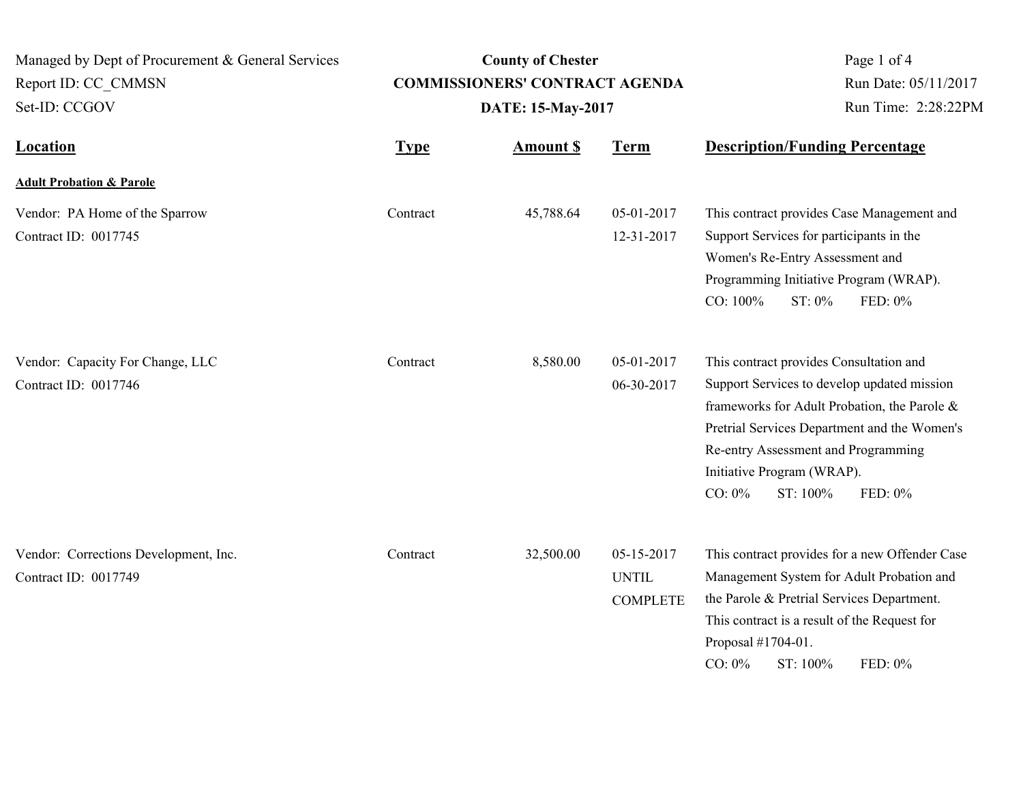| Managed by Dept of Procurement & General Services<br>Report ID: CC CMMSN<br>Set-ID: CCGOV |             | <b>County of Chester</b><br><b>COMMISSIONERS' CONTRACT AGENDA</b><br>DATE: 15-May-2017 | Page 1 of 4<br>Run Date: 05/11/2017<br>Run Time: 2:28:22PM |                                                                                                                                                                                                                                                                                                 |
|-------------------------------------------------------------------------------------------|-------------|----------------------------------------------------------------------------------------|------------------------------------------------------------|-------------------------------------------------------------------------------------------------------------------------------------------------------------------------------------------------------------------------------------------------------------------------------------------------|
| Location                                                                                  | <b>Type</b> | <b>Amount \$</b>                                                                       | <b>Term</b>                                                | <b>Description/Funding Percentage</b>                                                                                                                                                                                                                                                           |
| <b>Adult Probation &amp; Parole</b>                                                       |             |                                                                                        |                                                            |                                                                                                                                                                                                                                                                                                 |
| Vendor: PA Home of the Sparrow<br>Contract ID: 0017745                                    | Contract    | 45,788.64                                                                              | 05-01-2017<br>12-31-2017                                   | This contract provides Case Management and<br>Support Services for participants in the<br>Women's Re-Entry Assessment and<br>Programming Initiative Program (WRAP).<br>CO: 100%<br>ST: 0%<br>FED: 0%                                                                                            |
| Vendor: Capacity For Change, LLC<br>Contract ID: 0017746                                  | Contract    | 8,580.00                                                                               | 05-01-2017<br>06-30-2017                                   | This contract provides Consultation and<br>Support Services to develop updated mission<br>frameworks for Adult Probation, the Parole &<br>Pretrial Services Department and the Women's<br>Re-entry Assessment and Programming<br>Initiative Program (WRAP).<br>$CO: 0\%$<br>ST: 100%<br>FED: 0% |
| Vendor: Corrections Development, Inc.<br>Contract ID: 0017749                             | Contract    | 32,500.00                                                                              | 05-15-2017<br><b>UNTIL</b><br><b>COMPLETE</b>              | This contract provides for a new Offender Case<br>Management System for Adult Probation and<br>the Parole & Pretrial Services Department.<br>This contract is a result of the Request for<br>Proposal #1704-01.<br>$CO: 0\%$<br>ST: 100%<br>FED: 0%                                             |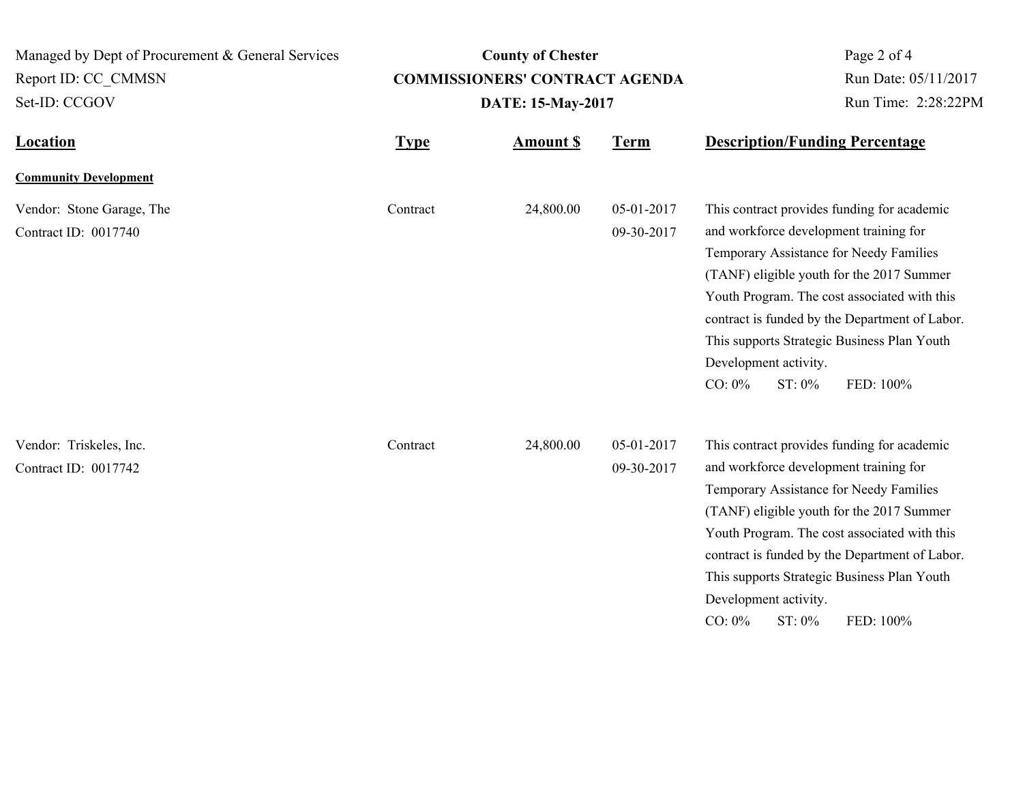**Location Type Type** *Amount \$* **Term Description/Funding Percentage County of Chester COMMISSIONERS' CONTRACT AGENDA** Managed by Dept of Procurement & General Services Set-ID: CCGOV Report ID: CC\_CMMSN Page 2 of 4 **Amount \$ DATE: 15-May-2017** Run Date: 05/11/2017 Run Time: 2:28:22PM **Community Development** Vendor: Stone Garage, The Contract 24,800.00 05-01-2017 Contract ID: 0017740 09-30-2017 This contract provides funding for academic and workforce development training for Temporary Assistance for Needy Families (TANF) eligible youth for the 2017 Summer Youth Program. The cost associated with this contract is funded by the Department of Labor. This supports Strategic Business Plan Youth Development activity. CO: 0% ST: 0% FED: 100% Contract Vendor: Triskeles, Inc. 24,800.00 05-01-2017 Contract ID: 0017742 09-30-2017 This contract provides funding for academic and workforce development training for Temporary Assistance for Needy Families (TANF) eligible youth for the 2017 Summer Youth Program. The cost associated with this contract is funded by the Department of Labor. This supports Strategic Business Plan Youth Development activity. CO: 0% ST: 0% FED: 100% **Contract**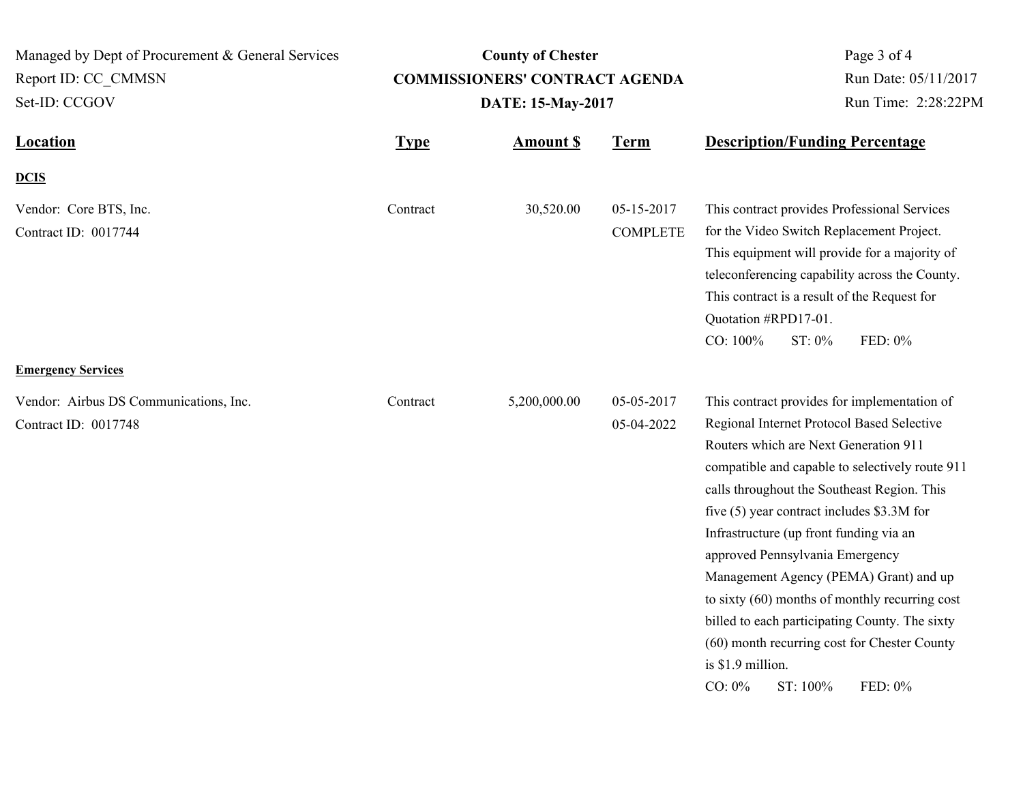| Managed by Dept of Procurement & General Services<br>Report ID: CC CMMSN<br>Set-ID: CCGOV |             | <b>County of Chester</b><br><b>COMMISSIONERS' CONTRACT AGENDA</b><br>DATE: 15-May-2017 | Page 3 of 4<br>Run Date: 05/11/2017<br>Run Time: 2:28:22PM |                                                                                                                                                                                                                                                                                                                                                                                                                                                                                                                                                                                                                            |
|-------------------------------------------------------------------------------------------|-------------|----------------------------------------------------------------------------------------|------------------------------------------------------------|----------------------------------------------------------------------------------------------------------------------------------------------------------------------------------------------------------------------------------------------------------------------------------------------------------------------------------------------------------------------------------------------------------------------------------------------------------------------------------------------------------------------------------------------------------------------------------------------------------------------------|
| <b>Location</b>                                                                           | <b>Type</b> | <b>Amount \$</b>                                                                       | <b>Term</b>                                                | <b>Description/Funding Percentage</b>                                                                                                                                                                                                                                                                                                                                                                                                                                                                                                                                                                                      |
| <b>DCIS</b>                                                                               |             |                                                                                        |                                                            |                                                                                                                                                                                                                                                                                                                                                                                                                                                                                                                                                                                                                            |
| Vendor: Core BTS, Inc.<br>Contract ID: 0017744                                            | Contract    | 30,520.00                                                                              | 05-15-2017<br><b>COMPLETE</b>                              | This contract provides Professional Services<br>for the Video Switch Replacement Project.<br>This equipment will provide for a majority of<br>teleconferencing capability across the County.<br>This contract is a result of the Request for<br>Quotation #RPD17-01.<br>CO: 100%<br>ST: 0%<br>FED: 0%                                                                                                                                                                                                                                                                                                                      |
| <b>Emergency Services</b>                                                                 |             |                                                                                        |                                                            |                                                                                                                                                                                                                                                                                                                                                                                                                                                                                                                                                                                                                            |
| Vendor: Airbus DS Communications, Inc.<br>Contract ID: 0017748                            | Contract    | 5,200,000.00                                                                           | 05-05-2017<br>05-04-2022                                   | This contract provides for implementation of<br>Regional Internet Protocol Based Selective<br>Routers which are Next Generation 911<br>compatible and capable to selectively route 911<br>calls throughout the Southeast Region. This<br>five (5) year contract includes \$3.3M for<br>Infrastructure (up front funding via an<br>approved Pennsylvania Emergency<br>Management Agency (PEMA) Grant) and up<br>to sixty $(60)$ months of monthly recurring cost<br>billed to each participating County. The sixty<br>(60) month recurring cost for Chester County<br>is \$1.9 million.<br>$CO: 0\%$<br>ST: 100%<br>FED: 0% |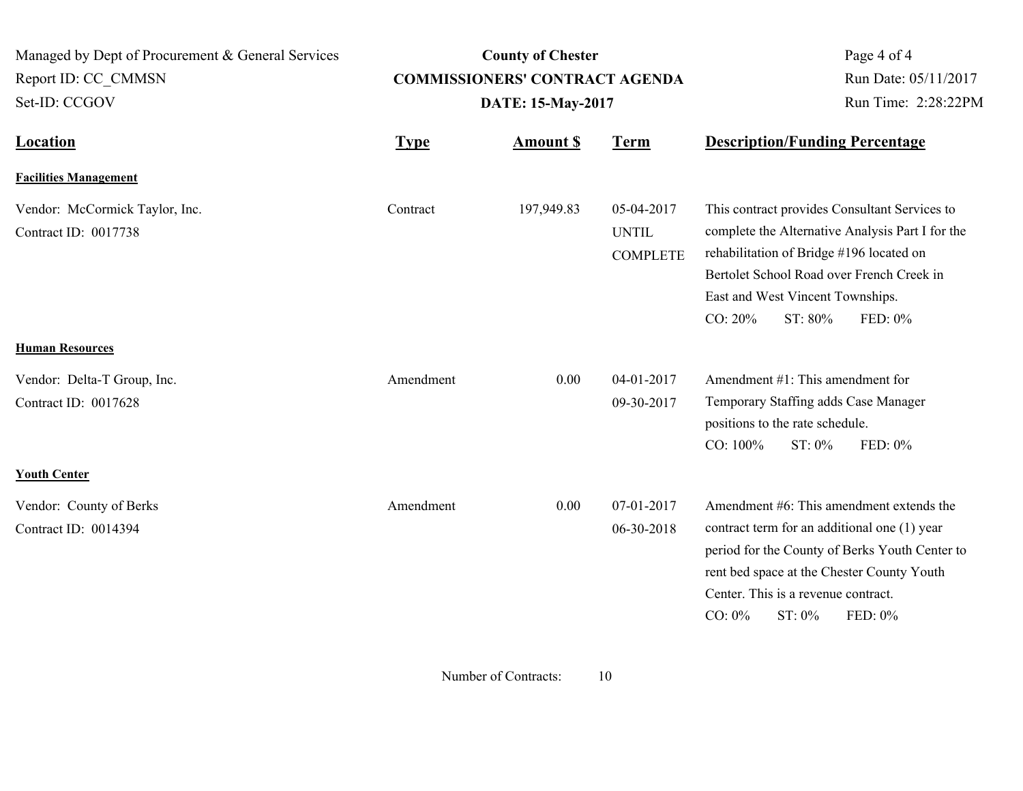| Managed by Dept of Procurement & General Services<br>Report ID: CC_CMMSN |             | <b>County of Chester</b><br><b>COMMISSIONERS' CONTRACT AGENDA</b> | Page 4 of 4<br>Run Date: 05/11/2017           |                                                                                                                                                                                                                                                                   |
|--------------------------------------------------------------------------|-------------|-------------------------------------------------------------------|-----------------------------------------------|-------------------------------------------------------------------------------------------------------------------------------------------------------------------------------------------------------------------------------------------------------------------|
| Set-ID: CCGOV                                                            |             | <b>DATE: 15-May-2017</b>                                          | Run Time: 2:28:22PM                           |                                                                                                                                                                                                                                                                   |
| <b>Location</b>                                                          | <b>Type</b> | <u>Amount \$</u>                                                  | <b>Term</b>                                   | <b>Description/Funding Percentage</b>                                                                                                                                                                                                                             |
| <b>Facilities Management</b>                                             |             |                                                                   |                                               |                                                                                                                                                                                                                                                                   |
| Vendor: McCormick Taylor, Inc.<br>Contract ID: 0017738                   | Contract    | 197,949.83                                                        | 05-04-2017<br><b>UNTIL</b><br><b>COMPLETE</b> | This contract provides Consultant Services to<br>complete the Alternative Analysis Part I for the<br>rehabilitation of Bridge #196 located on<br>Bertolet School Road over French Creek in<br>East and West Vincent Townships.<br>CO: 20%<br>ST: 80%<br>FED: 0%   |
| <b>Human Resources</b>                                                   |             |                                                                   |                                               |                                                                                                                                                                                                                                                                   |
| Vendor: Delta-T Group, Inc.<br>Contract ID: 0017628                      | Amendment   | 0.00                                                              | $04 - 01 - 2017$<br>09-30-2017                | Amendment #1: This amendment for<br>Temporary Staffing adds Case Manager<br>positions to the rate schedule.<br>CO: 100%<br>ST: 0%<br>FED: 0%                                                                                                                      |
| <b>Youth Center</b>                                                      |             |                                                                   |                                               |                                                                                                                                                                                                                                                                   |
| Vendor: County of Berks<br>Contract ID: 0014394                          | Amendment   | 0.00                                                              | 07-01-2017<br>06-30-2018                      | Amendment #6: This amendment extends the<br>contract term for an additional one (1) year<br>period for the County of Berks Youth Center to<br>rent bed space at the Chester County Youth<br>Center. This is a revenue contract.<br>$CO: 0\%$<br>ST: 0%<br>FED: 0% |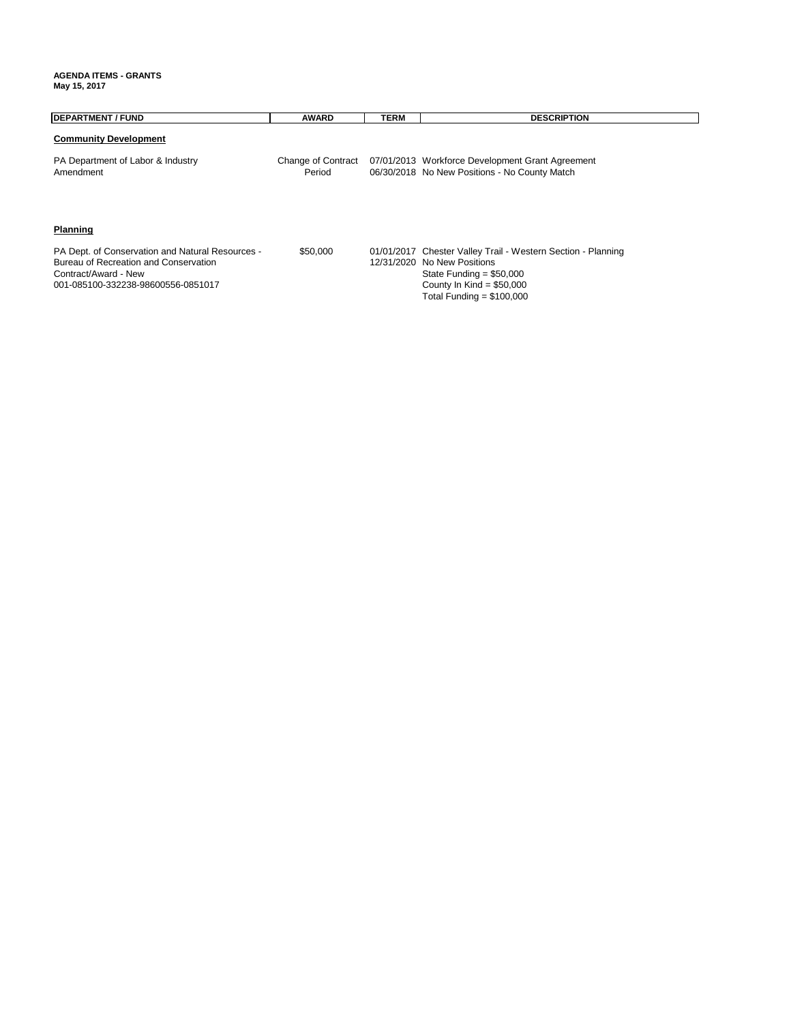## **AGENDA ITEMS - GRANTS May 15, 2017**

| <b>DEPARTMENT / FUND</b>                                                                                                                                | <b>AWARD</b>                 | <b>TERM</b> | <b>DESCRIPTION</b>                                                                                                                                                                   |
|---------------------------------------------------------------------------------------------------------------------------------------------------------|------------------------------|-------------|--------------------------------------------------------------------------------------------------------------------------------------------------------------------------------------|
| <b>Community Development</b>                                                                                                                            |                              |             |                                                                                                                                                                                      |
| PA Department of Labor & Industry<br>Amendment                                                                                                          | Change of Contract<br>Period |             | 07/01/2013 Workforce Development Grant Agreement<br>06/30/2018 No New Positions - No County Match                                                                                    |
| Planning                                                                                                                                                |                              |             |                                                                                                                                                                                      |
| PA Dept. of Conservation and Natural Resources -<br>Bureau of Recreation and Conservation<br>Contract/Award - New<br>001-085100-332238-98600556-0851017 | \$50,000                     |             | 01/01/2017 Chester Valley Trail - Western Section - Planning<br>12/31/2020 No New Positions<br>State Funding = $$50,000$<br>County In Kind = $$50,000$<br>Total Funding $= $100,000$ |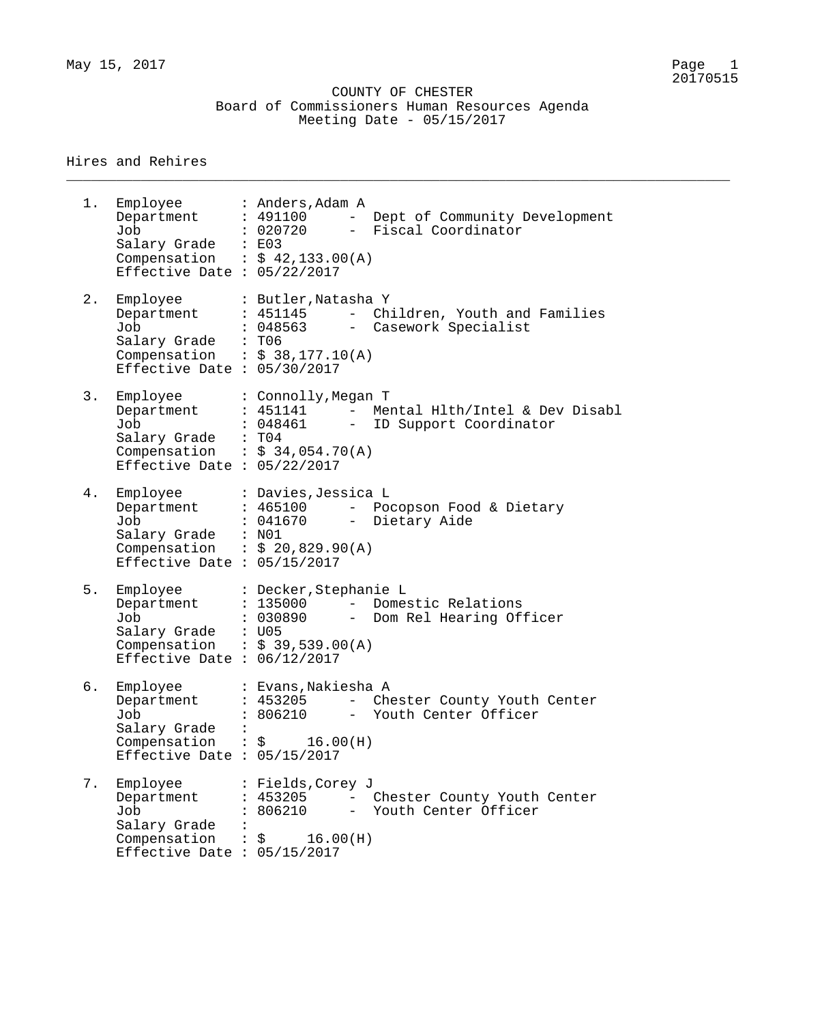May 15, 2017 Page 1

 COUNTY OF CHESTER Board of Commissioners Human Resources Agenda Meeting Date - 05/15/2017

\_\_\_\_\_\_\_\_\_\_\_\_\_\_\_\_\_\_\_\_\_\_\_\_\_\_\_\_\_\_\_\_\_\_\_\_\_\_\_\_\_\_\_\_\_\_\_\_\_\_\_\_\_\_\_\_\_\_\_\_\_\_\_\_\_\_\_\_\_\_\_\_\_\_\_\_\_\_\_\_

## Hires and Rehires

1. Employee : Anders,Adam A Department : 491100 - Dept of Community Development Job : 020720 - Fiscal Coordinator Salary Grade : E03 Compensation :  $\sharp$  42,133.00(A) Effective Date : 05/22/2017 2. Employee : Butler, Natasha Y Department : 451145 - Children, Youth and Families Job : 048563 - Casework Specialist Salary Grade : T06 Compensation :  $$38,177.10(A)$ Effective Date : 05/30/2017 3. Employee : Connolly, Megan T Department : 451141 - Mental Hlth/Intel & Dev Disabl Job : 048461 - ID Support Coordinator Salary Grade : T04 Compensation :  $$34,054.70(A)$ Effective Date : 05/22/2017 4. Employee : Davies,Jessica L Department : 465100 - Pocopson Food & Dietary Job : 041670 - Dietary Aide Salary Grade : N01 Compensation :  $$20,829.90 (A)$ Effective Date : 05/15/2017 5. Employee : Decker,Stephanie L Department : 135000 - Domestic Relations Job : 030890 - Dom Rel Hearing Officer Salary Grade : U05 Compensation :  $$39,539.00(A)$ Effective Date : 06/12/2017 6. Employee : Evans,Nakiesha A Department : 453205 - Chester County Youth Center Job : 806210 - Youth Center Officer Salary Grade :  $COMP$   $:$   $\sharp$   $16.00(H)$ Effective Date : 05/15/2017 7. Employee : Fields, Corey J<br>
Department : 453205 -Department : 453205 - Chester County Youth Center Job : 806210 - Youth Center Officer Salary Grade<br>Compensation  $\therefore$  \$ 16.00 (H) Effective Date : 05/15/2017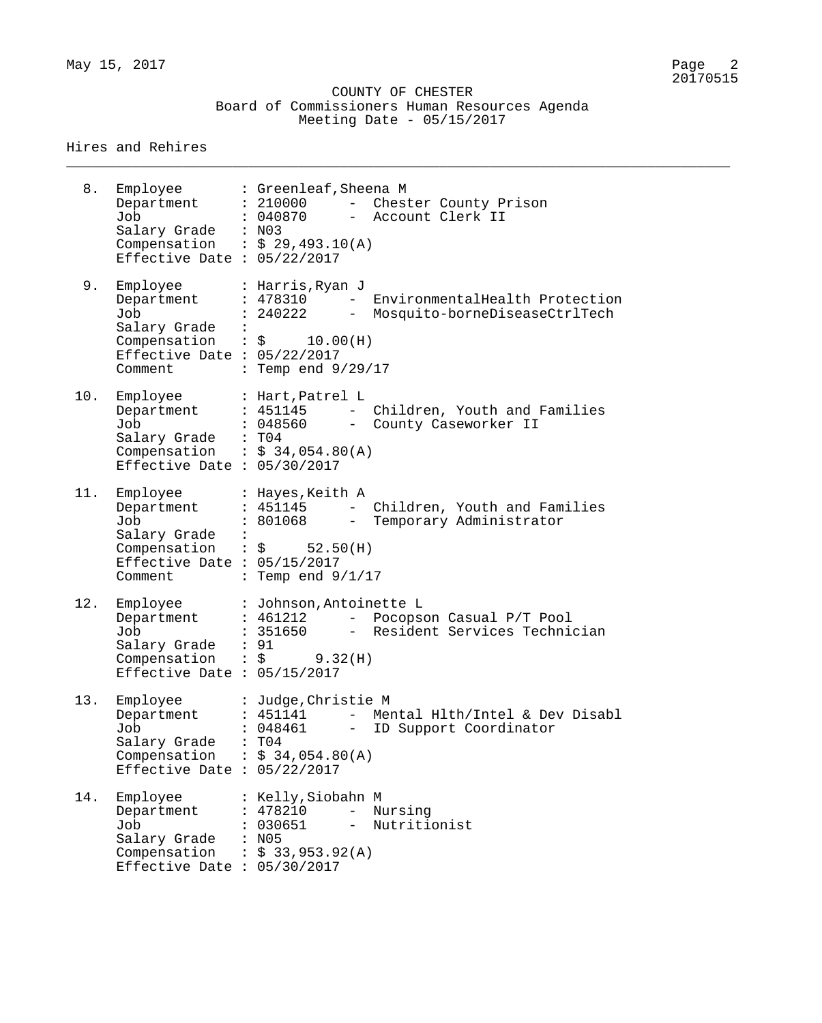May 15, 2017 Page 2

 COUNTY OF CHESTER Board of Commissioners Human Resources Agenda Meeting Date - 05/15/2017

\_\_\_\_\_\_\_\_\_\_\_\_\_\_\_\_\_\_\_\_\_\_\_\_\_\_\_\_\_\_\_\_\_\_\_\_\_\_\_\_\_\_\_\_\_\_\_\_\_\_\_\_\_\_\_\_\_\_\_\_\_\_\_\_\_\_\_\_\_\_\_\_\_\_\_\_\_\_\_\_

Hires and Rehires

8. Employee : Greenleaf,Sheena M Department : 210000 - Chester County Prison Job : 040870 - Account Clerk II Salary Grade : N03 Compensation :  $\frac{29}{493.10(A)}$ Effective Date : 05/22/2017 9. Employee : Harris,Ryan J Department : 478310 - EnvironmentalHealth Protection Job : 240222 - Mosquito-borneDiseaseCtrlTech Salary Grade :<br>Compensation :  $\therefore$  \$ 10.00 (H) Effective Date :  $05/22/2017$ <br>Comment : Temp end 9 : Temp end  $9/29/17$ 10. Employee : Hart,Patrel L Department : 451145 - Children, Youth and Families Job : 048560 - County Caseworker II Salary Grade : T04 Compensation :  $$34,054.80(A)$ Effective Date : 05/30/2017 11. Employee Hayes,Keith A Department : 451145 - Children, Youth and Families Job : 801068 - Temporary Administrator Salary Grade : Compensation :  $\zeta$  52.50 (H) Effective Date : 05/15/2017<br>Comment : Temp end 9  $:$  Temp end  $9/1/17$ 12. Employee : Johnson,Antoinette L Department : 461212 - Pocopson Casual P/T Pool Job : 351650 - Resident Services Technician Salary Grade : 91  $\frac{32(4)}{2}$  Compensation :  $\frac{3}{7}$  9.32(H) Effective Date : 05/15/2017 13. Employee : Judge, Christie M<br>Department : 451141 - Mer Department : 451141 - Mental Hlth/Intel & Dev Disabl Job : 048461 - ID Support Coordinator Salary Grade : T04  $\frac{5a \cdot 4}{2}$  compensation :  $\frac{5}{2}$  34,054.80(A) Effective Date : 05/22/2017 14. Employee : Kelly,Siobahn M Department : 478210 - Nursing Job : 030651 - Nutritionist Salary Grade : N05 Compensation :  $$33,953.92(A)$ Effective Date : 05/30/2017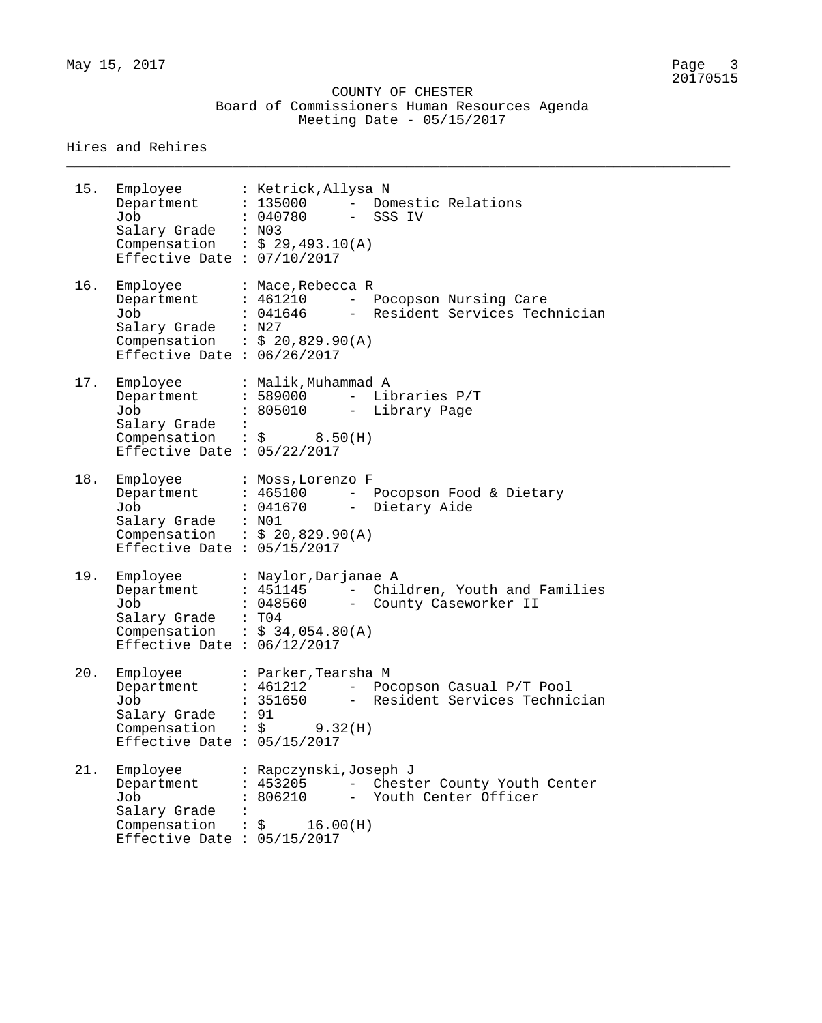## COUNTY OF CHESTER Board of Commissioners Human Resources Agenda Meeting Date - 05/15/2017

\_\_\_\_\_\_\_\_\_\_\_\_\_\_\_\_\_\_\_\_\_\_\_\_\_\_\_\_\_\_\_\_\_\_\_\_\_\_\_\_\_\_\_\_\_\_\_\_\_\_\_\_\_\_\_\_\_\_\_\_\_\_\_\_\_\_\_\_\_\_\_\_\_\_\_\_\_\_\_\_

## Hires and Rehires

| 15. | Job<br>Salary Grade : N03<br>Effective Date : $07/10/2017$                                     | Employee : Ketrick, Allysa N<br>Department : 135000 - Domestic Relations<br>: 040780<br>- SSS IV<br>Compensation : $$29,493.10(A)$               |
|-----|------------------------------------------------------------------------------------------------|--------------------------------------------------------------------------------------------------------------------------------------------------|
| 16. | Employee<br>Department : 461210<br>Job<br>Salary Grade : N27<br>Effective Date : $06/26/2017$  | : Mace, Rebecca R<br>- Pocopson Nursing Care<br>: 041646 - Resident Services Technician<br>Compensation : $$20,829.90(A)$                        |
| 17. | Employee<br>Department<br>Job<br>Salary Grade :<br>Effective Date : $05/22/2017$               | : Malik, Muhammad A<br>$: 589000$ - Libraries $P/T$<br>: 805010 - Library Page<br>Compensation : $\frac{1}{5}$ 8.50(H)                           |
| 18. | Employee<br>Job<br>Salary Grade : N01<br>Effective Date : $05/15/2017$                         | : Moss, Lorenzo F<br>Department : 465100 - Pocopson Food & Dietary<br>: 041670 - Dietary Aide<br>Compensation : $$20,829.90(A)$                  |
| 19. | Employee<br>Department<br>Job<br>Salary Grade : T04<br>Effective Date : $06/12/2017$           | : Naylor, Darjanae A<br>: 451145<br>- Children, Youth and Families<br>: 048560 - County Caseworker II<br>Compensation : $$34,054.80(A)$          |
| 20. | Employee<br>Department<br>Job<br>Salary Grade<br>Effective Date : $05/15/2017$                 | : Parker, Tearsha M<br>: 461212<br>- Pocopson Casual P/T Pool<br>351650<br>Resident Services Technician<br>: 91<br>Compensation : $\sin 9.32(H)$ |
| 21. | Employee<br>Department<br>Job<br>Salary Grade<br>Compensation<br>Effective Date : $05/15/2017$ | : Rapczynski,Joseph J<br>: 453205<br>- Chester County Youth Center<br>806210<br>- Youth Center Officer<br>$\colon$ \$<br>16.00(H)                |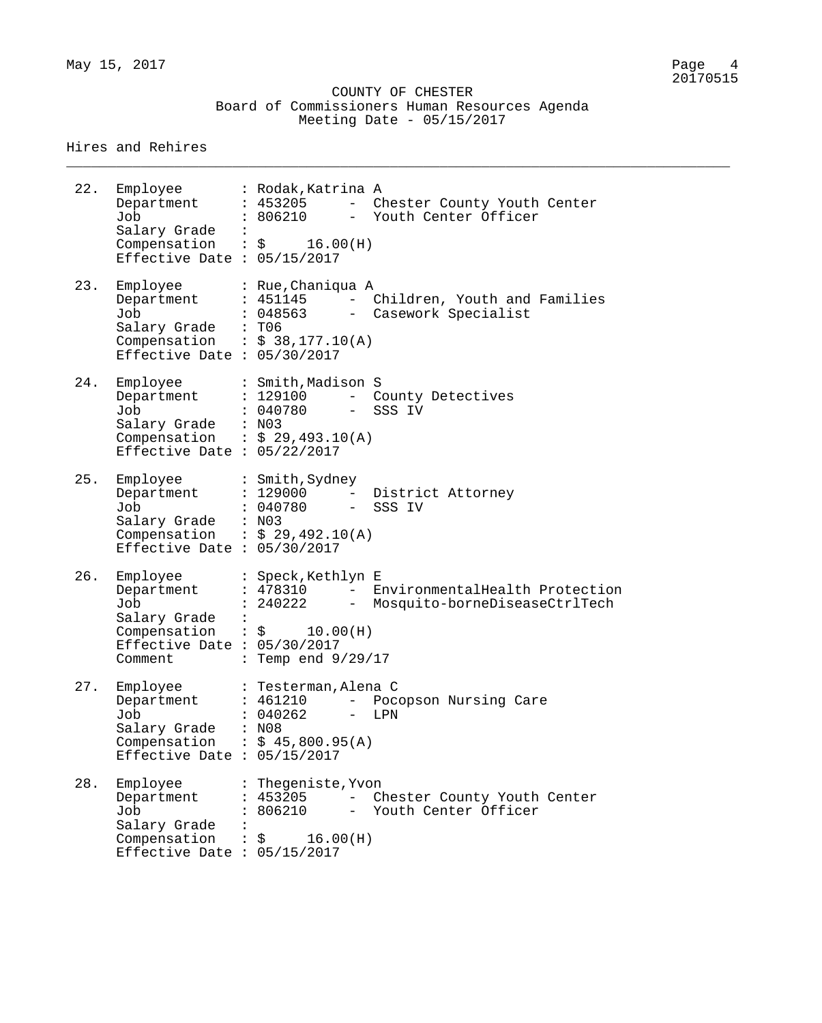## COUNTY OF CHESTER Board of Commissioners Human Resources Agenda Meeting Date - 05/15/2017

\_\_\_\_\_\_\_\_\_\_\_\_\_\_\_\_\_\_\_\_\_\_\_\_\_\_\_\_\_\_\_\_\_\_\_\_\_\_\_\_\_\_\_\_\_\_\_\_\_\_\_\_\_\_\_\_\_\_\_\_\_\_\_\_\_\_\_\_\_\_\_\_\_\_\_\_\_\_\_\_

## Hires and Rehires

| 22. | Employee<br>Department<br>Job<br>Salary Grade :                                                                                    |                | : Rodak, Katrina A<br>: 453205<br>: 806210                   | $\frac{1}{2}$ | Chester County Youth Center<br>- Youth Center Officer                        |
|-----|------------------------------------------------------------------------------------------------------------------------------------|----------------|--------------------------------------------------------------|---------------|------------------------------------------------------------------------------|
|     | Compensation : $\frac{1}{5}$ 16.00(H)<br>Effective Date : $05/15/2017$                                                             |                |                                                              |               |                                                                              |
| 23. | Employee<br>Department<br>Job<br>Salary Grade : T06<br>Compensation : $$38,177.10(A)$<br>Effective Date : $05/30/2017$             |                | : Rue, Chaniqua A<br>: 451145<br>: 048563                    |               | Children, Youth and Families<br>- Casework Specialist                        |
| 24. | Employee<br>Department<br>Job<br>Salary Grade : N03<br>Compensation : $$29,493.10(A)$<br>Effective Date : $05/22/2017$             |                | : Smith, Madison S<br>: 129100<br>: 040780                   |               | - County Detectives<br>- SSS IV                                              |
| 25. | Employee<br>Department<br>Job<br>Salary Grade : N03<br>Compensation : $$29,492.10(A)$<br>Effective Date : $05/30/2017$             |                | : Smith, Sydney<br>: 129000<br>: 040780                      |               | - District Attorney<br>- SSS IV                                              |
| 26. | Employee<br>Department<br>Job<br>Salary Grade<br>Compensation : $\frac{1}{5}$ 10.00(H)<br>Effective Date : $05/30/2017$<br>Comment | $\mathbb{R}^n$ | : Speck, Kethlyn E<br>: 478310<br>: Temp end $9/29/17$       |               | - EnvironmentalHealth Protection<br>: 240222 - Mosquito-borneDiseaseCtrlTech |
| 27. | Employee<br>Department<br>Job<br>Salary Grade : N08<br>Compensation : $$45,800.95(A)$<br>Effective Date : $05/15/2017$             |                | : Testerman, Alena C<br>: 461210<br>: 040262                 |               | Pocopson Nursing Care<br>LPN                                                 |
| 28. | Employee<br>Department<br>Job<br>Salary Grade<br>Compensation<br>Effective Date : $05/15/2017$                                     |                | : Thegeniste, Yvon<br>: 453205<br>: 806210<br>16.00(H)<br>\$ | $-$           | Chester County Youth Center<br>- Youth Center Officer                        |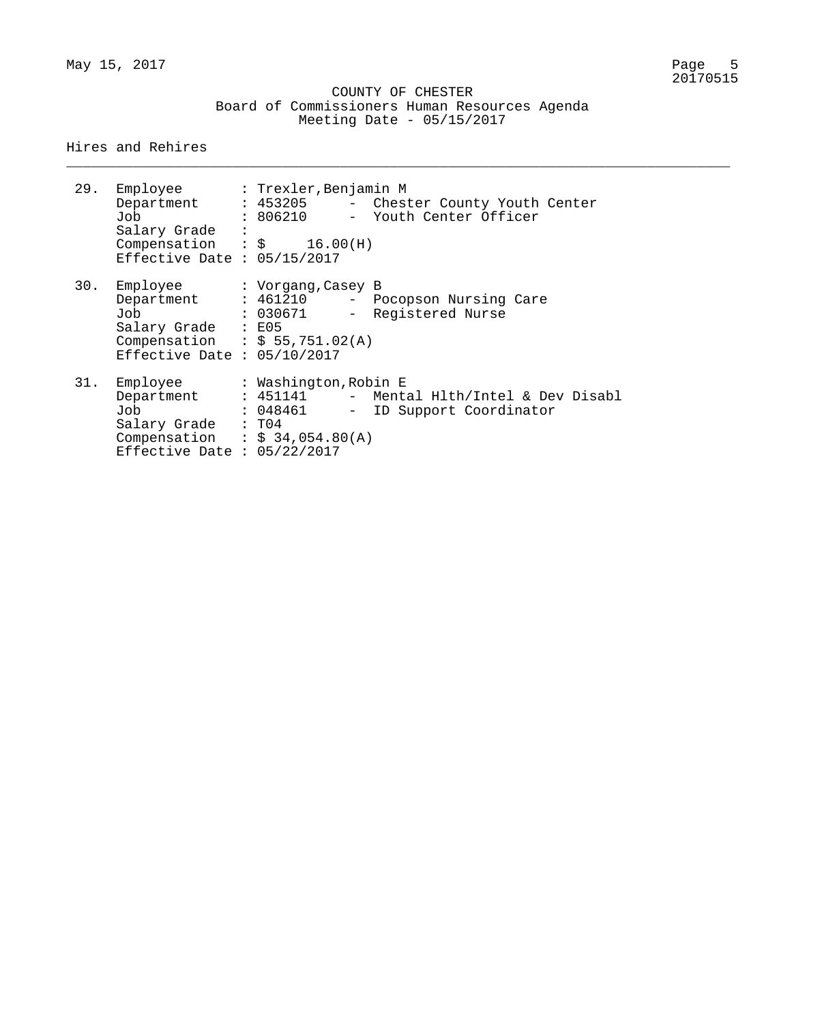\_\_\_\_\_\_\_\_\_\_\_\_\_\_\_\_\_\_\_\_\_\_\_\_\_\_\_\_\_\_\_\_\_\_\_\_\_\_\_\_\_\_\_\_\_\_\_\_\_\_\_\_\_\_\_\_\_\_\_\_\_\_\_\_\_\_\_\_\_\_\_\_\_\_\_\_\_\_\_\_

Hires and Rehires

| 29. | Job<br>Salary Grade<br>Compensation : $\frac{1}{5}$ 16.00(H)<br>Effective Date : $05/15/2017$             | Department : 453205 - Chester County Youth Center<br>: 806210 - Youth Center Officer                               |
|-----|-----------------------------------------------------------------------------------------------------------|--------------------------------------------------------------------------------------------------------------------|
| 30. | Employee<br>Job<br>Salary Grade : E05<br>Compensation : $$ 55,751.02(A)$<br>Effective Date : $05/10/2017$ | : Vorgang,Casey B<br>Department : 461210 - Pocopson Nursing Care<br>: 030671 - Registered Nurse                    |
| 31. | Employee<br>Job<br>Salary Grade : T04<br>Compensation : $$34,054.80(A)$<br>Effective Date : $05/22/2017$  | : Washington, Robin E<br>Department : 451141 - Mental Hlth/Intel & Dev Disabl<br>: 048461 - ID Support Coordinator |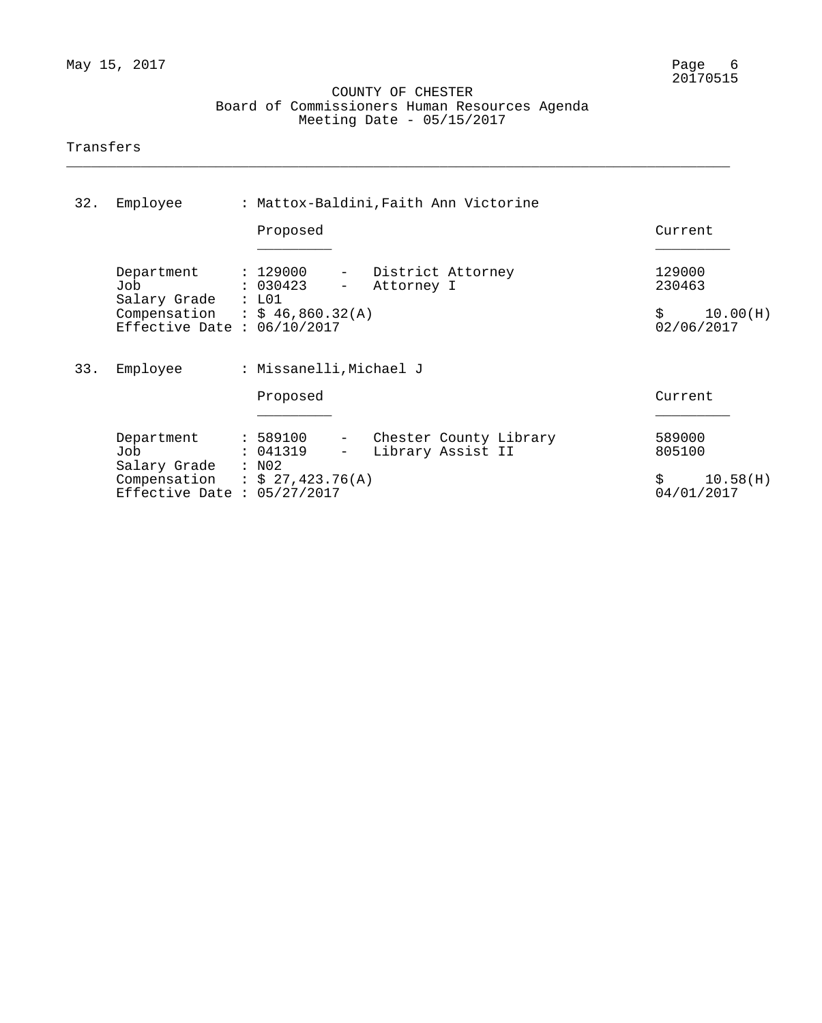## COUNTY OF CHESTER Board of Commissioners Human Resources Agenda Meeting Date - 05/15/2017

\_\_\_\_\_\_\_\_\_\_\_\_\_\_\_\_\_\_\_\_\_\_\_\_\_\_\_\_\_\_\_\_\_\_\_\_\_\_\_\_\_\_\_\_\_\_\_\_\_\_\_\_\_\_\_\_\_\_\_\_\_\_\_\_\_\_\_\_\_\_\_\_\_\_\_\_\_\_\_\_

## Transfers

| 32. | Employee                                                                                              | : Mattox-Baldini, Faith Ann Victorine                |                                             |                                                  |
|-----|-------------------------------------------------------------------------------------------------------|------------------------------------------------------|---------------------------------------------|--------------------------------------------------|
|     |                                                                                                       | Proposed                                             |                                             | Current                                          |
|     | Department<br>Job                                                                                     | : 129000<br>$-$ .<br>: 030423<br>Attorney I<br>$ \,$ | District Attorney                           | 129000<br>230463                                 |
|     | Salary Grade : L01<br>Compensation : $$46,860.32(A)$<br>Effective Date : $06/10/2017$                 |                                                      |                                             | \$<br>10.00(H)<br>02/06/2017                     |
| 33. | Employee                                                                                              | : Missanelli, Michael J                              |                                             |                                                  |
|     |                                                                                                       | Proposed                                             |                                             | Current                                          |
|     | Department<br>Job<br>Salary Grade<br>Compensation : $$ 27,423.76(A)$<br>Effective Date : $05/27/2017$ | : 589100<br>$ \,$<br>: 041319<br>$-$<br>: N02        | Chester County Library<br>Library Assist II | 589000<br>805100<br>\$<br>10.58(H)<br>04/01/2017 |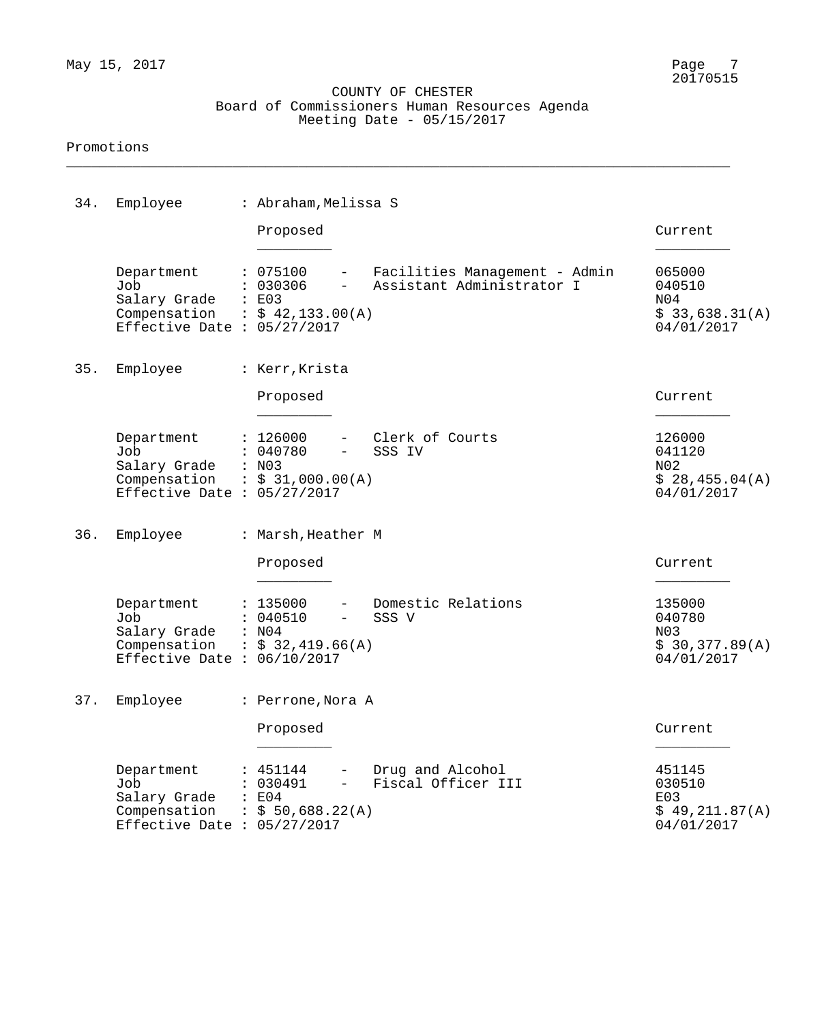## COUNTY OF CHESTER Board of Commissioners Human Resources Agenda Meeting Date - 05/15/2017

\_\_\_\_\_\_\_\_\_\_\_\_\_\_\_\_\_\_\_\_\_\_\_\_\_\_\_\_\_\_\_\_\_\_\_\_\_\_\_\_\_\_\_\_\_\_\_\_\_\_\_\_\_\_\_\_\_\_\_\_\_\_\_\_\_\_\_\_\_\_\_\_\_\_\_\_\_\_\_\_

## Promotions

| 34. | Employee                                                                                             | : Abraham, Melissa S                                                  |                                                            |                                                         |
|-----|------------------------------------------------------------------------------------------------------|-----------------------------------------------------------------------|------------------------------------------------------------|---------------------------------------------------------|
|     |                                                                                                      | Proposed                                                              |                                                            | Current                                                 |
|     | Department<br>Job<br>Salary Grade<br>Compensation : $$42,133.00(A)$<br>Effective Date : $05/27/2017$ | : 075100<br>$ -$<br>: 030306<br>$ -$<br>: E03                         | Facilities Management - Admin<br>Assistant Administrator I | 065000<br>040510<br>N04<br>\$33,638.31(A)<br>04/01/2017 |
| 35. | Employee                                                                                             | : Kerr, Krista                                                        |                                                            |                                                         |
|     |                                                                                                      | Proposed                                                              |                                                            | Current                                                 |
|     | Department<br>Job<br>Salary Grade<br>Compensation : $$31,000.00(A)$<br>Effective Date : $05/27/2017$ | : 126000<br>: 040780<br>$ \,$<br>: N03                                | - Clerk of Courts<br>SSS IV                                | 126000<br>041120<br>N02<br>\$28,455.04(A)<br>04/01/2017 |
| 36. | Employee                                                                                             | : Marsh, Heather M                                                    |                                                            |                                                         |
|     |                                                                                                      | Proposed                                                              |                                                            | Current                                                 |
|     | Department<br>Job<br>Salary Grade<br>Compensation<br>Effective Date : $06/10/2017$                   | : 135000<br>: 040510<br>$-$<br>: N04<br>$\frac{1}{5}$ \$ 32,419.66(A) | Domestic Relations<br>SSS V                                | 135000<br>040780<br>N03<br>\$30,377.89(A)<br>04/01/2017 |
|     | 37. Employee                                                                                         | : Perrone, Nora A                                                     |                                                            |                                                         |
|     |                                                                                                      | Proposed                                                              |                                                            | Current                                                 |
|     | Department<br>Job<br>Salary Grade<br>Compensation<br>Effective Date : $05/27/2017$                   | : 451144<br>030491<br>: E04<br>: \$50,688.22(A)                       | Drug and Alcohol<br>Fiscal Officer III                     | 451145<br>030510<br>E03<br>\$49,211.87(A)<br>04/01/2017 |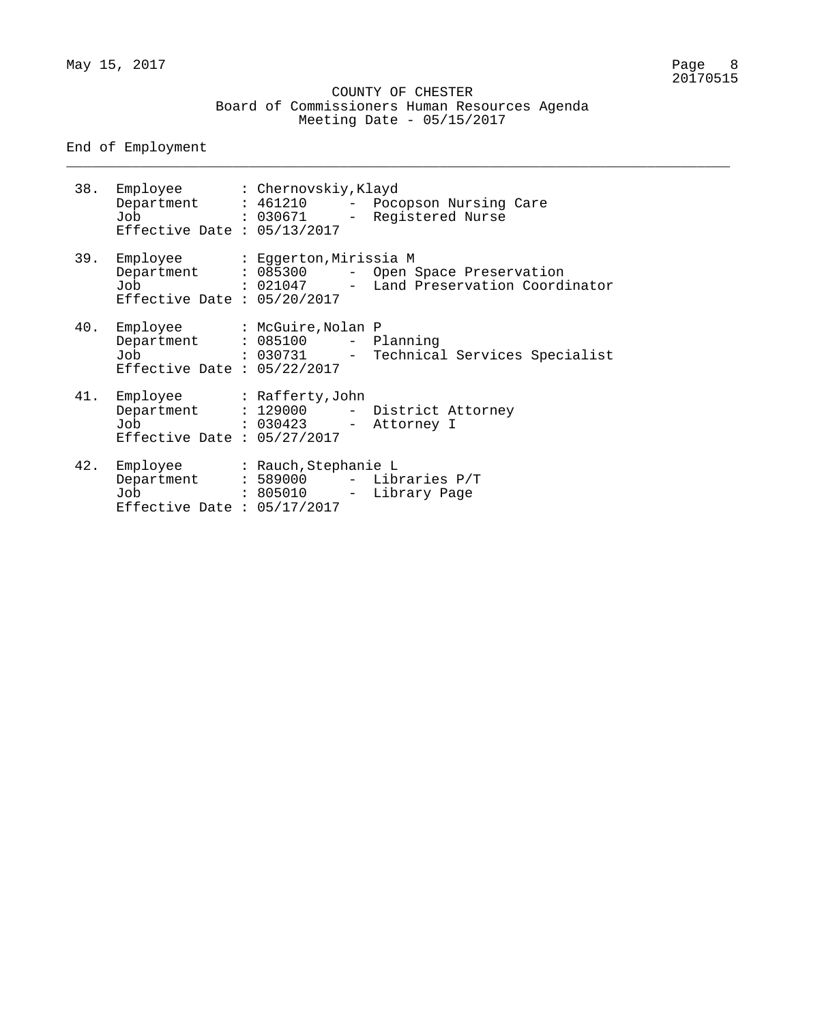## COUNTY OF CHESTER Board of Commissioners Human Resources Agenda Meeting Date - 05/15/2017

\_\_\_\_\_\_\_\_\_\_\_\_\_\_\_\_\_\_\_\_\_\_\_\_\_\_\_\_\_\_\_\_\_\_\_\_\_\_\_\_\_\_\_\_\_\_\_\_\_\_\_\_\_\_\_\_\_\_\_\_\_\_\_\_\_\_\_\_\_\_\_\_\_\_\_\_\_\_\_\_

End of Employment

|     | 38. Employee : Chernovskiy, Klayd<br>Effective Date : $05/13/2017$                                                                   |  | Department : 461210 - Pocopson Nursing Care<br>Job : 030671 - Registered Nurse                                                       |
|-----|--------------------------------------------------------------------------------------------------------------------------------------|--|--------------------------------------------------------------------------------------------------------------------------------------|
|     | Effective Date : $05/20/2017$                                                                                                        |  | 39. Employee : Eggerton, Mirissia M<br>Department : 085300 - Open Space Preservation<br>Job : 021047 - Land Preservation Coordinator |
|     | Effective Date : $05/22/2017$                                                                                                        |  | 40. Employee : McGuire, Nolan P<br>Department : 085100 - Planning<br>Job : 030731 - Technical Services Specialist                    |
|     | 41. Employee : Rafferty, John<br>Effective Date : $05/27/2017$                                                                       |  | Department : 129000 - District Attorney<br>Job : 030423 - Attorney I                                                                 |
| 42. | Employee : Rauch, Stephanie L<br>Department : 589000 - Libraries P/T<br>Job : 805010 - Library Page<br>Effective Date : $05/17/2017$ |  |                                                                                                                                      |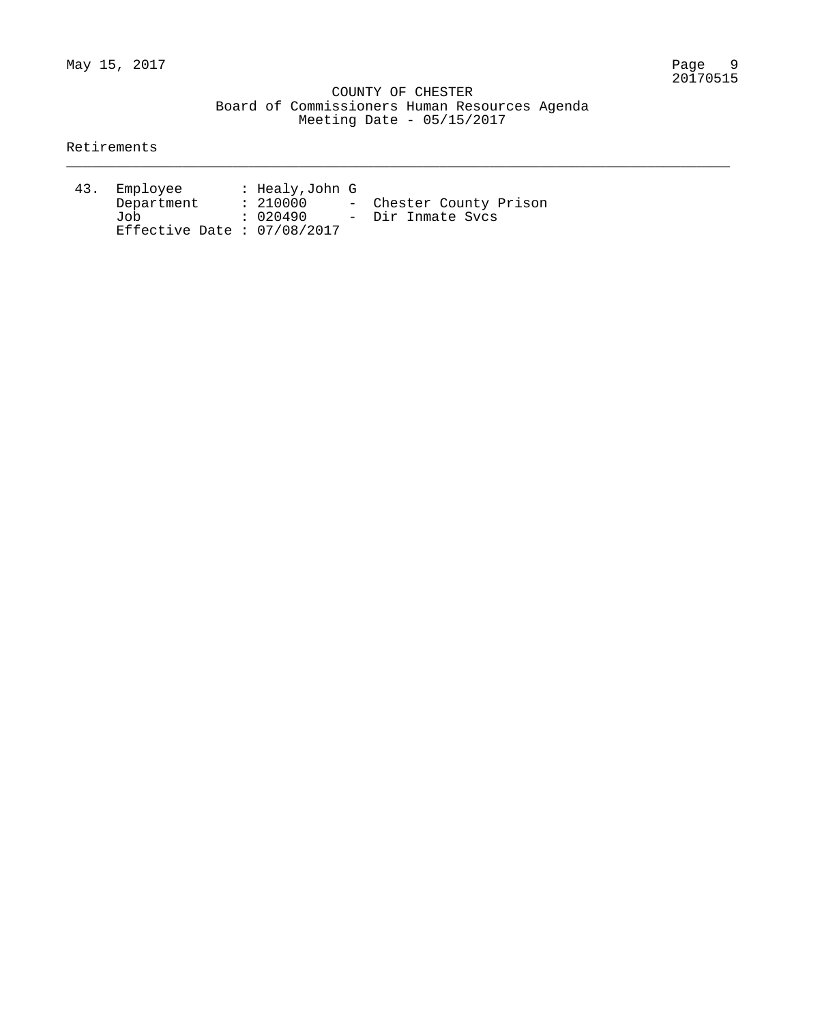## COUNTY OF CHESTER Board of Commissioners Human Resources Agenda Meeting Date - 05/15/2017

\_\_\_\_\_\_\_\_\_\_\_\_\_\_\_\_\_\_\_\_\_\_\_\_\_\_\_\_\_\_\_\_\_\_\_\_\_\_\_\_\_\_\_\_\_\_\_\_\_\_\_\_\_\_\_\_\_\_\_\_\_\_\_\_\_\_\_\_\_\_\_\_\_\_\_\_\_\_\_\_

## Retirements

| 43. Employee                  | : Healy,John G |                         |
|-------------------------------|----------------|-------------------------|
| Department                    | : 210000       | - Chester County Prison |
| Job                           | : 020490       | - Dir Inmate Svcs       |
| Effective Date : $07/08/2017$ |                |                         |